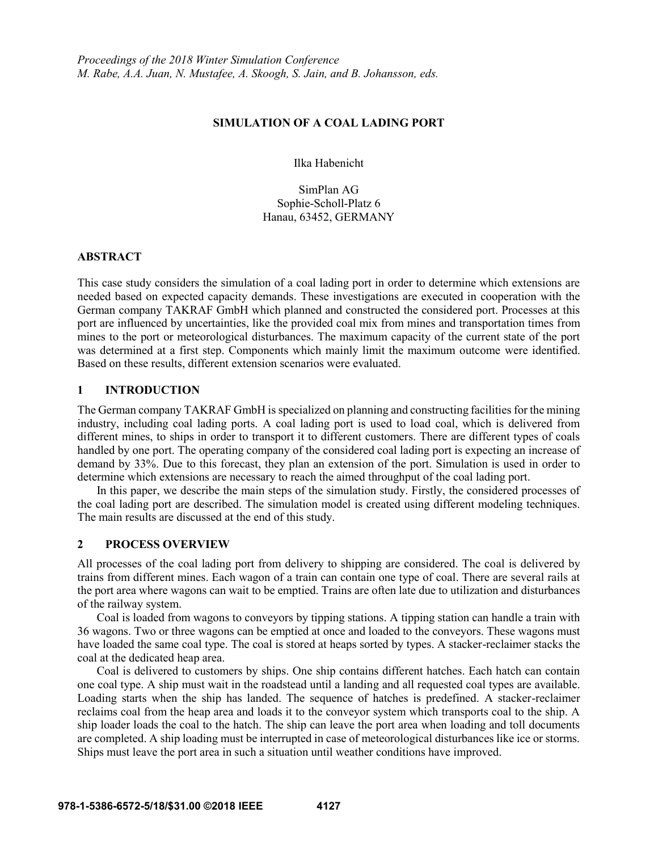### **SIMULATION OF A COAL LADING PORT**

Ilka Habenicht

SimPlan AG Sophie-Scholl-Platz 6 Hanau, 63452, GERMANY

### **ABSTRACT**

This case study considers the simulation of a coal lading port in order to determine which extensions are needed based on expected capacity demands. These investigations are executed in cooperation with the German company TAKRAF GmbH which planned and constructed the considered port. Processes at this port are influenced by uncertainties, like the provided coal mix from mines and transportation times from mines to the port or meteorological disturbances. The maximum capacity of the current state of the port was determined at a first step. Components which mainly limit the maximum outcome were identified. Based on these results, different extension scenarios were evaluated.

# **1 INTRODUCTION**

The German company TAKRAF GmbH is specialized on planning and constructing facilities for the mining industry, including coal lading ports. A coal lading port is used to load coal, which is delivered from different mines, to ships in order to transport it to different customers. There are different types of coals handled by one port. The operating company of the considered coal lading port is expecting an increase of demand by 33%. Due to this forecast, they plan an extension of the port. Simulation is used in order to determine which extensions are necessary to reach the aimed throughput of the coal lading port.

In this paper, we describe the main steps of the simulation study. Firstly, the considered processes of the coal lading port are described. The simulation model is created using different modeling techniques. The main results are discussed at the end of this study.

### **2 PROCESS OVERVIEW**

All processes of the coal lading port from delivery to shipping are considered. The coal is delivered by trains from different mines. Each wagon of a train can contain one type of coal. There are several rails at the port area where wagons can wait to be emptied. Trains are often late due to utilization and disturbances of the railway system.

Coal is loaded from wagons to conveyors by tipping stations. A tipping station can handle a train with 36 wagons. Two or three wagons can be emptied at once and loaded to the conveyors. These wagons must have loaded the same coal type. The coal is stored at heaps sorted by types. A stacker-reclaimer stacks the coal at the dedicated heap area.

Coal is delivered to customers by ships. One ship contains different hatches. Each hatch can contain one coal type. A ship must wait in the roadstead until a landing and all requested coal types are available. Loading starts when the ship has landed. The sequence of hatches is predefined. A stacker-reclaimer reclaims coal from the heap area and loads it to the conveyor system which transports coal to the ship. A ship loader loads the coal to the hatch. The ship can leave the port area when loading and toll documents are completed. A ship loading must be interrupted in case of meteorological disturbances like ice or storms. Ships must leave the port area in such a situation until weather conditions have improved.